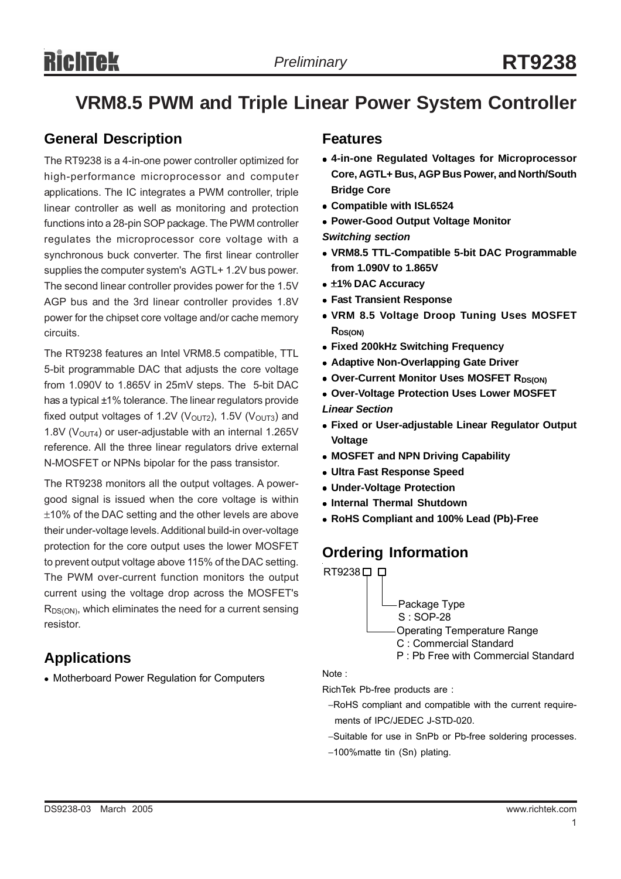## **VRM8.5 PWM and Triple Linear Power System Controller**

### **General Description**

The RT9238 is a 4-in-one power controller optimized for high-performance microprocessor and computer applications. The IC integrates a PWM controller, triple linear controller as well as monitoring and protection functions into a 28-pin SOP package. The PWM controller regulates the microprocessor core voltage with a synchronous buck converter. The first linear controller supplies the computer system's AGTL+ 1.2V bus power. The second linear controller provides power for the 1.5V AGP bus and the 3rd linear controller provides 1.8V power for the chipset core voltage and/or cache memory circuits.

The RT9238 features an Intel VRM8.5 compatible, TTL 5-bit programmable DAC that adjusts the core voltage from 1.090V to 1.865V in 25mV steps. The 5-bit DAC has a typical ±1% tolerance. The linear regulators provide fixed output voltages of 1.2V ( $V<sub>OUT2</sub>$ ), 1.5V ( $V<sub>OUT3</sub>$ ) and 1.8V ( $V_{\text{OUT4}}$ ) or user-adjustable with an internal 1.265V reference. All the three linear regulators drive external N-MOSFET or NPNs bipolar for the pass transistor.

The RT9238 monitors all the output voltages. A powergood signal is issued when the core voltage is within ±10% of the DAC setting and the other levels are above their under-voltage levels. Additional build-in over-voltage protection for the core output uses the lower MOSFET to prevent output voltage above 115% of the DAC setting. The PWM over-current function monitors the output current using the voltage drop across the MOSFET's R<sub>DS(ON)</sub>, which eliminates the need for a current sensing resistor.

### **Applications**

• Motherboard Power Regulation for Computers

### **Features**

- <sup>z</sup> **4-in-one Regulated Voltages for Microprocessor Core, AGTL+ Bus, AGP Bus Power, and North/South Bridge Core**
- **Compatible with ISL6524**
- **Power-Good Output Voltage Monitor**
- *Switching section*
- <sup>z</sup> **VRM8.5 TTL-Compatible 5-bit DAC Programmable from 1.090V to 1.865V**
- <sup>z</sup> ±**1% DAC Accuracy**
- **Fast Transient Response**
- **VRM 8.5 Voltage Droop Tuning Uses MOSFET RDS(ON)**
- **Fixed 200kHz Switching Frequency**
- **Adaptive Non-Overlapping Gate Driver**
- **Over-Current Monitor Uses MOSFET RDS(ON)**
- **Over-Voltage Protection Uses Lower MOSFET**

*Linear Section*

- **Fixed or User-adjustable Linear Regulator Output Voltage**
- **MOSFET and NPN Driving Capability**
- **Ultra Fast Response Speed**
- <sup>z</sup> **Under-Voltage Protection**
- **Internal Thermal Shutdown**
- <sup>z</sup> **RoHS Compliant and 100% Lead (Pb)-Free**

### **Ordering Information**



Note :

RichTek Pb-free products are :

- −RoHS compliant and compatible with the current require ments of IPC/JEDEC J-STD-020.
- −Suitable for use in SnPb or Pb-free soldering processes.
- −100%matte tin (Sn) plating.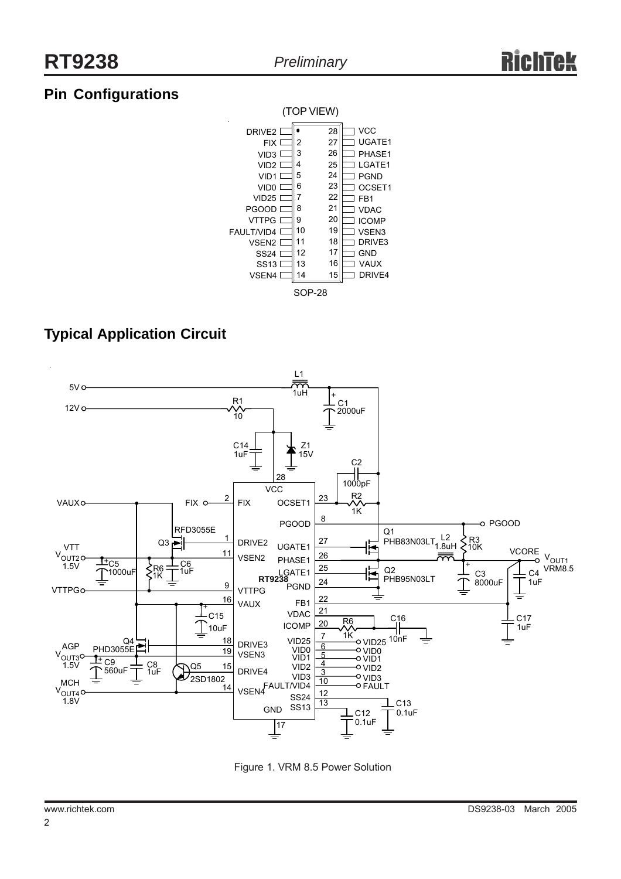### **Pin Configurations**



### **Typical Application Circuit**



Figure 1. VRM 8.5 Power Solution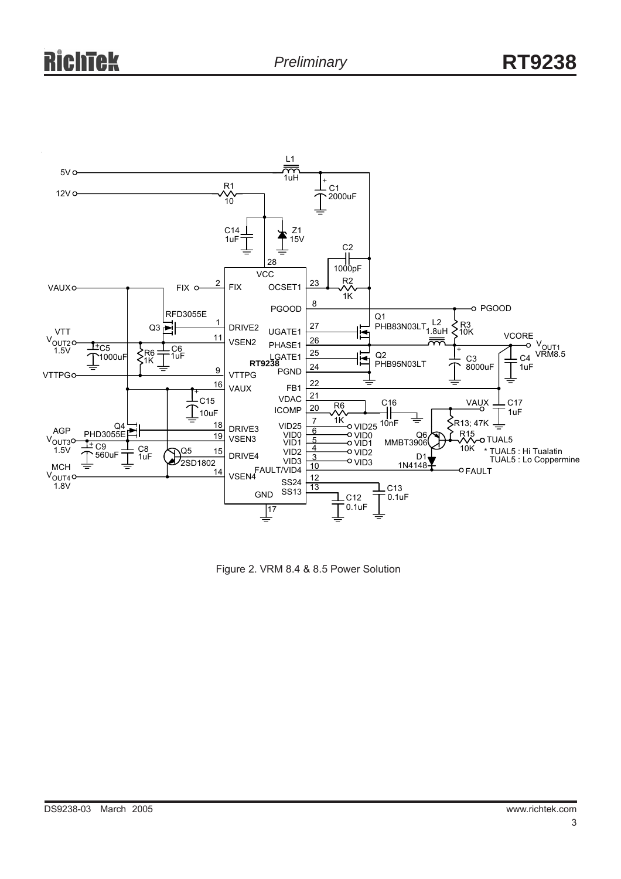

Figure 2. VRM 8.4 & 8.5 Power Solution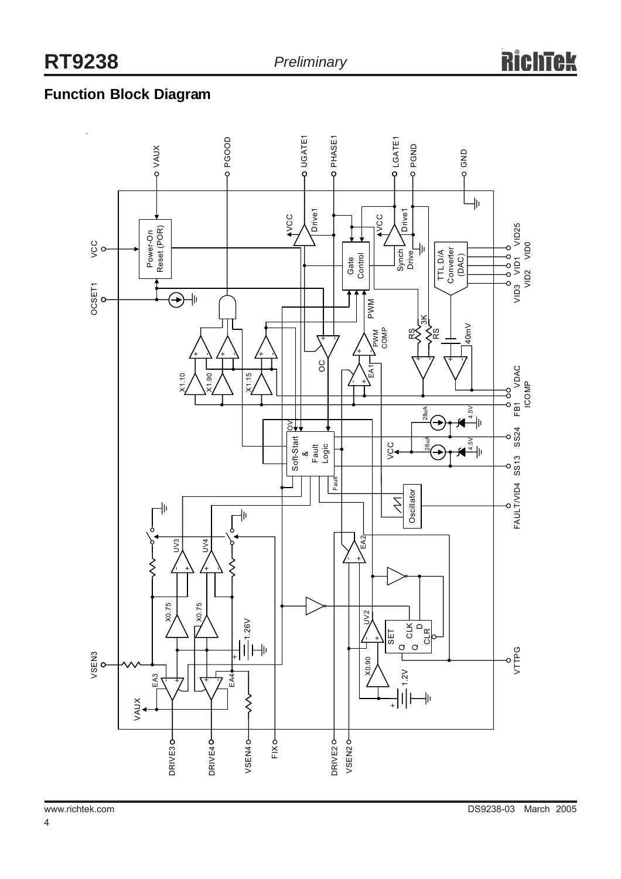### **Function Block Diagram**

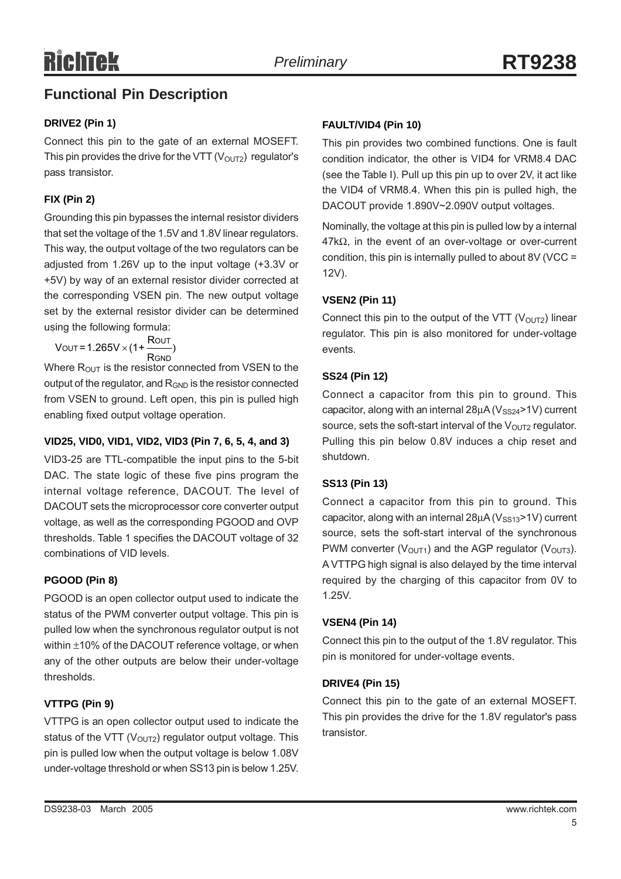### **Functional Pin Description**

### **DRIVE2 (Pin 1)**

Connect this pin to the gate of an external MOSEFT. This pin provides the drive for the VTT ( $V<sub>OUT2</sub>$ ) regulator's pass transistor.

### **FIX (Pin 2)**

Grounding this pin bypasses the internal resistor dividers that set the voltage of the 1.5V and 1.8V linear regulators. This way, the output voltage of the two regulators can be adjusted from 1.26V up to the input voltage (+3.3V or +5V) by way of an external resistor divider corrected at the corresponding VSEN pin. The new output voltage set by the external resistor divider can be determined using the following formula:

out = 1.265V  $\times$  (1+  $\overline{\phantom{0}}$  ) GND  $\text{V}\text{OUT} = 1.265\text{V} \times (1 + \frac{\text{R}}{\text{A}})$ R

Where  $R_{OUT}$  is the resistor connected from VSEN to the output of the regulator, and R<sub>GND</sub> is the resistor connected from VSEN to ground. Left open, this pin is pulled high enabling fixed output voltage operation.

### **VID25, VID0, VID1, VID2, VID3 (Pin 7, 6, 5, 4, and 3)**

VID3-25 are TTL-compatible the input pins to the 5-bit DAC. The state logic of these five pins program the internal voltage reference, DACOUT. The level of DACOUT sets the microprocessor core converter output voltage, as well as the corresponding PGOOD and OVP thresholds. Table 1 specifies the DACOUT voltage of 32 combinations of VID levels.

### **PGOOD (Pin 8)**

PGOOD is an open collector output used to indicate the status of the PWM converter output voltage. This pin is pulled low when the synchronous regulator output is not within ±10% of the DACOUT reference voltage, or when any of the other outputs are below their under-voltage thresholds.

### **VTTPG (Pin 9)**

VTTPG is an open collector output used to indicate the status of the VTT ( $V_{\text{OUT2}}$ ) regulator output voltage. This pin is pulled low when the output voltage is below 1.08V under-voltage threshold or when SS13 pin is below 1.25V.

### **FAULT/VID4 (Pin 10)**

This pin provides two combined functions. One is fault condition indicator, the other is VID4 for VRM8.4 DAC (see the Table I). Pull up this pin up to over 2V, it act like the VID4 of VRM8.4. When this pin is pulled high, the DACOUT provide 1.890V~2.090V output voltages.

Nominally, the voltage at this pin is pulled low by a internal  $47k\Omega$ , in the event of an over-voltage or over-current condition, this pin is internally pulled to about 8V (VCC = 12V).

### **VSEN2 (Pin 11)**

Connect this pin to the output of the VTT ( $V<sub>OUT2</sub>$ ) linear regulator. This pin is also monitored for under-voltage events.

### **SS24 (Pin 12)**

Connect a capacitor from this pin to ground. This capacitor, along with an internal  $28\mu$ A (V<sub>SS24</sub>>1V) current source, sets the soft-start interval of the  $V<sub>OUT2</sub>$  regulator. Pulling this pin below 0.8V induces a chip reset and shutdown.

### **SS13 (Pin 13)**

Connect a capacitor from this pin to ground. This capacitor, along with an internal  $28\mu$ A (V<sub>SS13</sub>>1V) current source, sets the soft-start interval of the synchronous PWM converter ( $V_{\text{OUT1}}$ ) and the AGP regulator ( $V_{\text{OUT3}}$ ). A VTTPG high signal is also delayed by the time interval required by the charging of this capacitor from 0V to 1.25V.

### **VSEN4 (Pin 14)**

Connect this pin to the output of the 1.8V regulator. This pin is monitored for under-voltage events.

### **DRIVE4 (Pin 15)**

Connect this pin to the gate of an external MOSEFT. This pin provides the drive for the 1.8V regulator's pass transistor.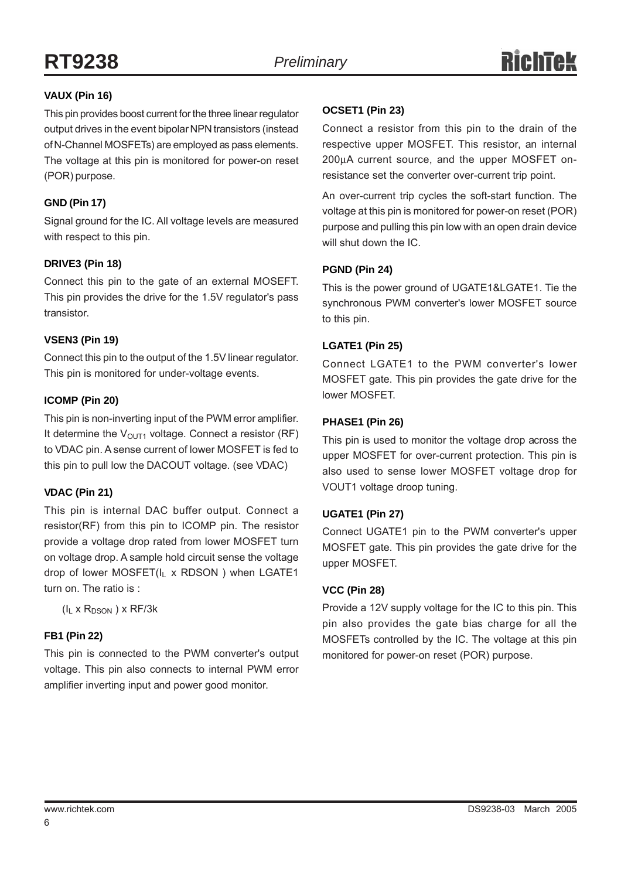### **VAUX (Pin 16)**

This pin provides boost current for the three linear regulator output drives in the event bipolar NPN transistors (instead of N-Channel MOSFETs) are employed as pass elements. The voltage at this pin is monitored for power-on reset (POR) purpose.

### **GND (Pin 17)**

Signal ground for the IC. All voltage levels are measured with respect to this pin.

### **DRIVE3 (Pin 18)**

Connect this pin to the gate of an external MOSEFT. This pin provides the drive for the 1.5V regulator's pass transistor.

### **VSEN3 (Pin 19)**

Connect this pin to the output of the 1.5V linear regulator. This pin is monitored for under-voltage events.

### **ICOMP (Pin 20)**

This pin is non-inverting input of the PWM error amplifier. It determine the  $V_{\text{OUT1}}$  voltage. Connect a resistor (RF) to VDAC pin. A sense current of lower MOSFET is fed to this pin to pull low the DACOUT voltage. (see VDAC)

### **VDAC (Pin 21)**

This pin is internal DAC buffer output. Connect a resistor(RF) from this pin to ICOMP pin. The resistor provide a voltage drop rated from lower MOSFET turn on voltage drop. A sample hold circuit sense the voltage drop of lower MOSFET(IL x RDSON) when LGATE1 turn on. The ratio is :

 $(I_L \times R_{DSON}) \times RF/3k$ 

### **FB1 (Pin 22)**

This pin is connected to the PWM converter's output voltage. This pin also connects to internal PWM error amplifier inverting input and power good monitor.

### **OCSET1 (Pin 23)**

Connect a resistor from this pin to the drain of the respective upper MOSFET. This resistor, an internal 200µA current source, and the upper MOSFET onresistance set the converter over-current trip point.

An over-current trip cycles the soft-start function. The voltage at this pin is monitored for power-on reset (POR) purpose and pulling this pin low with an open drain device will shut down the IC.

### **PGND (Pin 24)**

This is the power ground of UGATE1&LGATE1. Tie the synchronous PWM converter's lower MOSFET source to this pin.

### **LGATE1 (Pin 25)**

Connect LGATE1 to the PWM converter's lower MOSFET gate. This pin provides the gate drive for the lower MOSFET.

### **PHASE1 (Pin 26)**

This pin is used to monitor the voltage drop across the upper MOSFET for over-current protection. This pin is also used to sense lower MOSFET voltage drop for VOUT1 voltage droop tuning.

### **UGATE1 (Pin 27)**

Connect UGATE1 pin to the PWM converter's upper MOSFET gate. This pin provides the gate drive for the upper MOSFET.

### **VCC (Pin 28)**

Provide a 12V supply voltage for the IC to this pin. This pin also provides the gate bias charge for all the MOSFETs controlled by the IC. The voltage at this pin monitored for power-on reset (POR) purpose.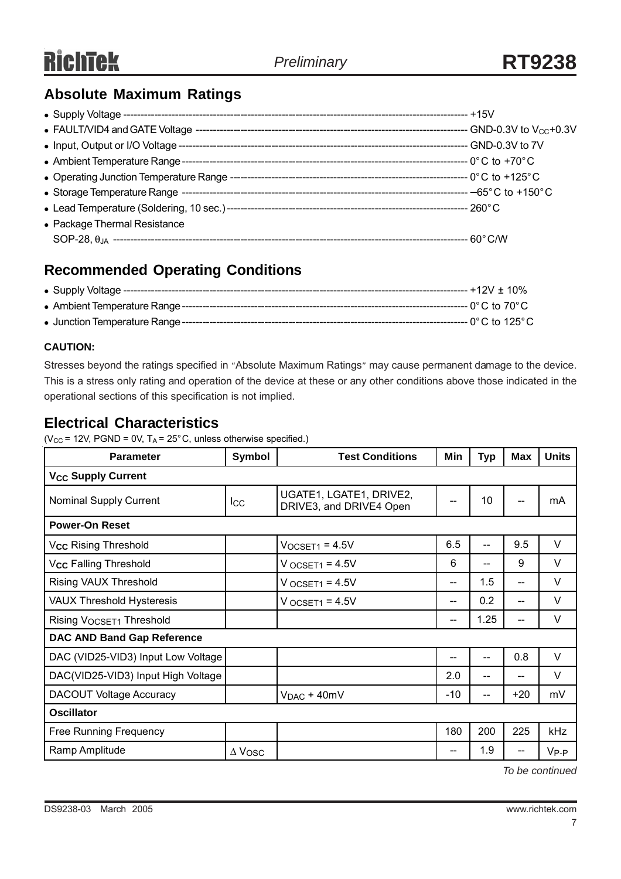### **Absolute Maximum Ratings**

| • Package Thermal Resistance |  |
|------------------------------|--|
|                              |  |

### **Recommended Operating Conditions**

### **CAUTION:**

Stresses beyond the ratings specified in "Absolute Maximum Ratings" may cause permanent damage to the device. This is a stress only rating and operation of the device at these or any other conditions above those indicated in the operational sections of this specification is not implied.

### **Electrical Characteristics**

( $V_{CC}$  = 12V, PGND = 0V, T<sub>A</sub> = 25°C, unless otherwise specified.)

| <b>Parameter</b>                     | <b>Symbol</b> | <b>Test Conditions</b>                             | Min                                   | <b>Typ</b> | Max   | <b>Units</b> |  |  |
|--------------------------------------|---------------|----------------------------------------------------|---------------------------------------|------------|-------|--------------|--|--|
| <b>V<sub>CC</sub></b> Supply Current |               |                                                    |                                       |            |       |              |  |  |
| <b>Nominal Supply Current</b>        | $_{\rm lcc}$  | UGATE1, LGATE1, DRIVE2,<br>DRIVE3, and DRIVE4 Open |                                       | 10         | --    | mA           |  |  |
| <b>Power-On Reset</b>                |               |                                                    |                                       |            |       |              |  |  |
| V <sub>CC</sub> Rising Threshold     |               | $VOCSET1 = 4.5V$                                   | 6.5                                   | $-$        | 9.5   | $\vee$       |  |  |
| V <sub>CC</sub> Falling Threshold    |               | $V$ OCSET <sub>1</sub> = 4.5 $V$                   | 6                                     | --         | 9     | V            |  |  |
| Rising VAUX Threshold                |               | $V$ OCSET <sub>1</sub> = 4.5 $V$                   | $\hspace{0.05cm}$ – $\hspace{0.05cm}$ | 1.5        | --    | V            |  |  |
| <b>VAUX Threshold Hysteresis</b>     |               | $V_{OCSET1} = 4.5V$                                | $\hspace{0.05cm}$ – $\hspace{0.05cm}$ | 0.2        | --    | V            |  |  |
| Rising V <sub>OCSET1</sub> Threshold |               |                                                    | --                                    | 1.25       | $-$   | V            |  |  |
| <b>DAC AND Band Gap Reference</b>    |               |                                                    |                                       |            |       |              |  |  |
| DAC (VID25-VID3) Input Low Voltage   |               |                                                    | --                                    | --         | 0.8   | $\vee$       |  |  |
| DAC(VID25-VID3) Input High Voltage   |               |                                                    | 2.0                                   | $-$        | --    | V            |  |  |
| <b>DACOUT Voltage Accuracy</b>       |               | $V_{DAC} + 40mV$                                   | $-10$                                 | --         | $+20$ | mV           |  |  |
| <b>Oscillator</b>                    |               |                                                    |                                       |            |       |              |  |  |
| <b>Free Running Frequency</b>        |               |                                                    | 180                                   | 200        | 225   | <b>kHz</b>   |  |  |
| Ramp Amplitude                       | $\Delta$ Vosc |                                                    | --                                    | 1.9        |       | $V_{P-P}$    |  |  |

*To be continued*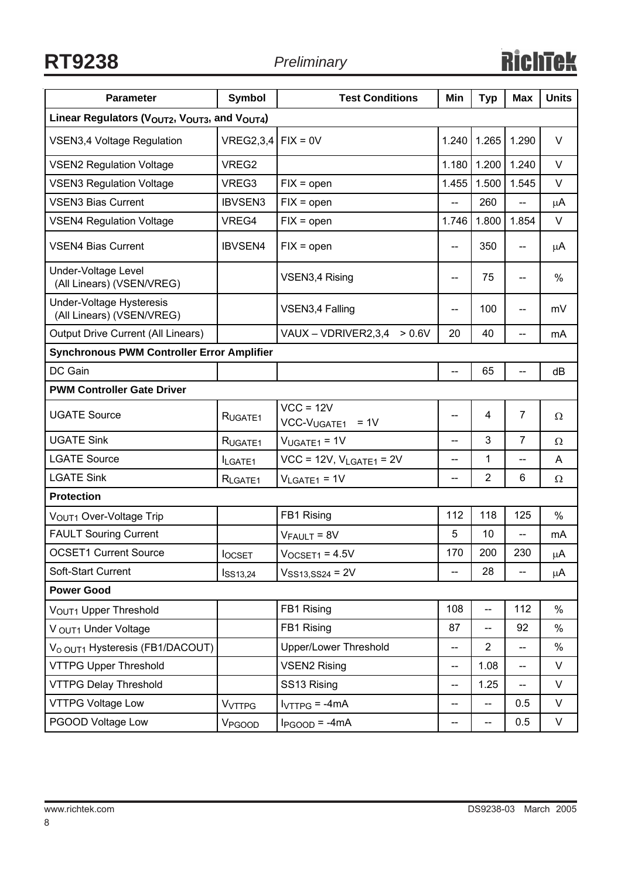**RT9238** *Preliminary*

| <b>Parameter</b>                                                                   | <b>Symbol</b>            | <b>Test Conditions</b>            | Min                                   | <b>Typ</b>               | <b>Max</b>               | <b>Units</b> |  |  |
|------------------------------------------------------------------------------------|--------------------------|-----------------------------------|---------------------------------------|--------------------------|--------------------------|--------------|--|--|
| Linear Regulators (V <sub>OUT2</sub> , V <sub>OUT3</sub> , and V <sub>OUT4</sub> ) |                          |                                   |                                       |                          |                          |              |  |  |
| <b>VSEN3,4 Voltage Regulation</b>                                                  | $VREG2,3,4$ FIX = 0V     |                                   | 1.240                                 | 1.265                    | 1.290                    | $\vee$       |  |  |
| <b>VSEN2 Regulation Voltage</b>                                                    | VREG2                    |                                   | 1.180                                 | 1.200                    | 1.240                    | $\vee$       |  |  |
| <b>VSEN3 Regulation Voltage</b>                                                    | VREG3                    | $FIX = open$                      | 1.455                                 | 1.500                    | 1.545                    | V            |  |  |
| <b>VSEN3 Bias Current</b>                                                          | <b>IBVSEN3</b>           | $FIX = open$                      | --                                    | 260                      | $\overline{\phantom{m}}$ | μA           |  |  |
| <b>VSEN4 Regulation Voltage</b>                                                    | VREG4                    | $FIX = open$                      | 1.746                                 | 1.800                    | 1.854                    | V            |  |  |
| <b>VSEN4 Bias Current</b>                                                          | <b>IBVSEN4</b>           | $FIX = open$                      | --                                    | 350                      | --                       | μA           |  |  |
| Under-Voltage Level<br>(All Linears) (VSEN/VREG)                                   |                          | VSEN3,4 Rising                    | $\overline{\phantom{a}}$              | 75                       | $-\!$ $\!-$              | %            |  |  |
| <b>Under-Voltage Hysteresis</b><br>(All Linears) (VSEN/VREG)                       |                          | VSEN3,4 Falling                   | $\overline{\phantom{a}}$              | 100                      | $-\!$ $\!-$              | mV           |  |  |
| <b>Output Drive Current (All Linears)</b>                                          |                          | VAUX - VDRIVER2,3,4<br>> 0.6V     | 20                                    | 40                       | $-$                      | mA           |  |  |
| <b>Synchronous PWM Controller Error Amplifier</b>                                  |                          |                                   |                                       |                          |                          |              |  |  |
| DC Gain                                                                            |                          |                                   | --                                    | 65                       | $-$                      | dВ           |  |  |
| <b>PWM Controller Gate Driver</b>                                                  |                          |                                   |                                       |                          |                          |              |  |  |
| <b>UGATE Source</b>                                                                | RUGATE1                  | $VCC = 12V$<br>$VCC-VUGATE1 = 1V$ | --                                    | 4                        | 7                        | $\Omega$     |  |  |
| <b>UGATE Sink</b>                                                                  | RUGATE <sub>1</sub>      | $VUGATE1 = 1V$                    | $-$                                   | 3                        | $\overline{7}$           | Ω            |  |  |
| <b>LGATE Source</b>                                                                | ILGATE1                  | $VCC = 12V$ , $V_{LGATE1} = 2V$   | --                                    | 1                        | $-$                      | A            |  |  |
| <b>LGATE Sink</b>                                                                  | RLGATE1                  | $V_{LGATE1} = 1V$                 | --                                    | $\overline{2}$           | 6                        | $\Omega$     |  |  |
| <b>Protection</b>                                                                  |                          |                                   |                                       |                          |                          |              |  |  |
| VOUT1 Over-Voltage Trip                                                            |                          | FB1 Rising                        | 112                                   | 118                      | 125                      | $\%$         |  |  |
| <b>FAULT Souring Current</b>                                                       |                          | $V_{FAULT} = 8V$                  | 5                                     | 10                       | $\overline{\phantom{a}}$ | mA           |  |  |
| <b>OCSET1 Current Source</b>                                                       | <b>locsET</b>            | $V_{OCSET1} = 4.5V$               | 170                                   | 200                      | 230                      | μA           |  |  |
| Soft-Start Current                                                                 | I <sub>S13,24</sub>      | $V_{SS13,SS24} = 2V$              | --                                    | 28                       |                          | μA           |  |  |
| <b>Power Good</b>                                                                  |                          |                                   |                                       |                          |                          |              |  |  |
| VOUT1 Upper Threshold                                                              |                          | FB1 Rising                        | 108                                   | $\overline{\phantom{a}}$ | 112                      | %            |  |  |
| V OUT1 Under Voltage                                                               |                          | FB1 Rising                        | 87                                    | $\overline{\phantom{a}}$ | 92                       | %            |  |  |
| V <sub>O OUT1</sub> Hysteresis (FB1/DACOUT)                                        |                          | <b>Upper/Lower Threshold</b>      | $\overline{\phantom{a}}$              | $\overline{2}$           | $\overline{\phantom{a}}$ | $\%$         |  |  |
| <b>VTTPG Upper Threshold</b>                                                       |                          | <b>VSEN2 Rising</b>               | $\hspace{0.05cm}$ – $\hspace{0.05cm}$ | 1.08                     | $\overline{\phantom{a}}$ | V            |  |  |
| <b>VTTPG Delay Threshold</b>                                                       |                          | SS13 Rising                       | --                                    | 1.25                     | $\overline{\phantom{a}}$ | V            |  |  |
| <b>VTTPG Voltage Low</b>                                                           | <b>V<sub>VTTPG</sub></b> | $IVTTPG = -4mA$                   | --                                    | --                       | 0.5                      | V            |  |  |
| PGOOD Voltage Low                                                                  | V <sub>PGOOD</sub>       | $I_{PGOOD} = -4mA$                | --                                    | $\overline{a}$           | 0.5                      | V            |  |  |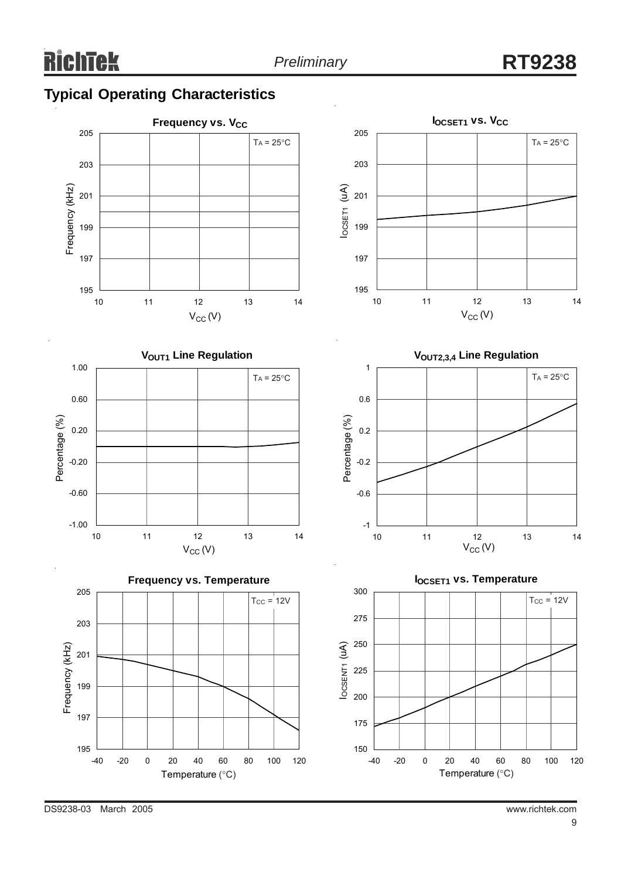

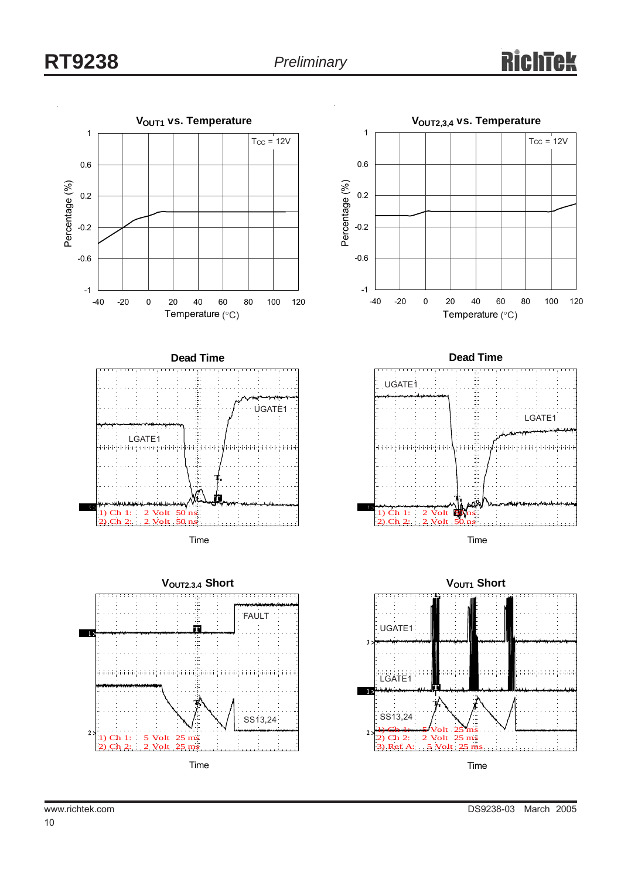## **RT9238** *Preliminary*

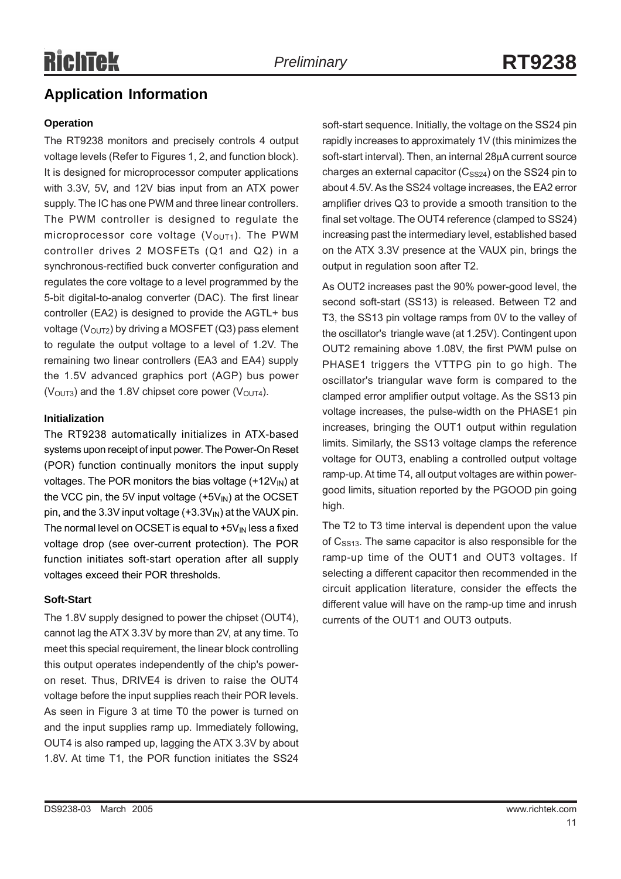### **Application Information**

#### **Operation**

The RT9238 monitors and precisely controls 4 output voltage levels (Refer to Figures 1, 2, and function block). It is designed for microprocessor computer applications with 3.3V, 5V, and 12V bias input from an ATX power supply. The IC has one PWM and three linear controllers. The PWM controller is designed to regulate the microprocessor core voltage  $(V<sub>OUT1</sub>)$ . The PWM controller drives 2 MOSFETs (Q1 and Q2) in a synchronous-rectified buck converter configuration and regulates the core voltage to a level programmed by the 5-bit digital-to-analog converter (DAC). The first linear controller (EA2) is designed to provide the AGTL+ bus voltage ( $V<sub>OUT2</sub>$ ) by driving a MOSFET (Q3) pass element to regulate the output voltage to a level of 1.2V. The remaining two linear controllers (EA3 and EA4) supply the 1.5V advanced graphics port (AGP) bus power ( $V<sub>OUT3</sub>$ ) and the 1.8V chipset core power ( $V<sub>OUT4</sub>$ ).

#### **Initialization**

The RT9238 automatically initializes in ATX-based systems upon receipt of input power. The Power-On Reset (POR) function continually monitors the input supply voltages. The POR monitors the bias voltage  $(+12V_{\rm IN})$  at the VCC pin, the 5V input voltage  $(+5V_{IN})$  at the OCSET pin, and the 3.3V input voltage  $(+3.3V)_{\text{IN}}$  at the VAUX pin. The normal level on OCSET is equal to  $+5V_{IN}$  less a fixed voltage drop (see over-current protection). The POR function initiates soft-start operation after all supply voltages exceed their POR thresholds.

#### **Soft-Start**

The 1.8V supply designed to power the chipset (OUT4), cannot lag the ATX 3.3V by more than 2V, at any time. To meet this special requirement, the linear block controlling this output operates independently of the chip's poweron reset. Thus, DRIVE4 is driven to raise the OUT4 voltage before the input supplies reach their POR levels. As seen in Figure 3 at time T0 the power is turned on and the input supplies ramp up. Immediately following, OUT4 is also ramped up, lagging the ATX 3.3V by about 1.8V. At time T1, the POR function initiates the SS24 soft-start sequence. Initially, the voltage on the SS24 pin rapidly increases to approximately 1V (this minimizes the soft-start interval). Then, an internal 28µA current source charges an external capacitor  $(C_{SS24})$  on the SS24 pin to about 4.5V. As the SS24 voltage increases, the EA2 error amplifier drives Q3 to provide a smooth transition to the final set voltage. The OUT4 reference (clamped to SS24) increasing past the intermediary level, established based on the ATX 3.3V presence at the VAUX pin, brings the output in regulation soon after T2.

As OUT2 increases past the 90% power-good level, the second soft-start (SS13) is released. Between T2 and T3, the SS13 pin voltage ramps from 0V to the valley of the oscillator's triangle wave (at 1.25V). Contingent upon OUT2 remaining above 1.08V, the first PWM pulse on PHASE1 triggers the VTTPG pin to go high. The oscillator's triangular wave form is compared to the clamped error amplifier output voltage. As the SS13 pin voltage increases, the pulse-width on the PHASE1 pin increases, bringing the OUT1 output within regulation limits. Similarly, the SS13 voltage clamps the reference voltage for OUT3, enabling a controlled output voltage ramp-up. At time T4, all output voltages are within powergood limits, situation reported by the PGOOD pin going high.

The T2 to T3 time interval is dependent upon the value of  $C_{SS13}$ . The same capacitor is also responsible for the ramp-up time of the OUT1 and OUT3 voltages. If selecting a different capacitor then recommended in the circuit application literature, consider the effects the different value will have on the ramp-up time and inrush currents of the OUT1 and OUT3 outputs.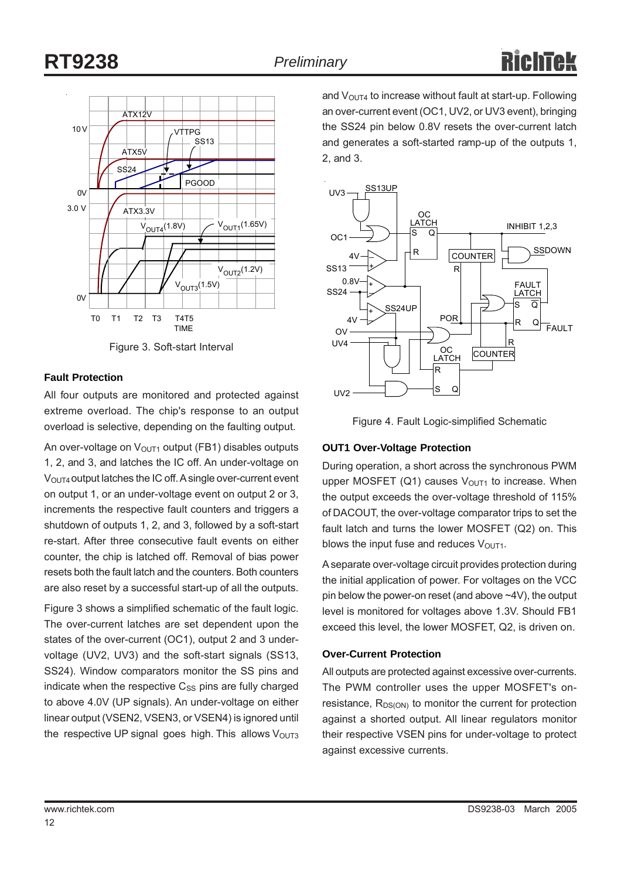

Figure 3. Soft-start Interval

#### **Fault Protection**

All four outputs are monitored and protected against extreme overload. The chip's response to an output overload is selective, depending on the faulting output.

An over-voltage on  $V<sub>OUT1</sub>$  output (FB1) disables outputs 1, 2, and 3, and latches the IC off. An under-voltage on V<sub>OUT4</sub> output latches the IC off. A single over-current event on output 1, or an under-voltage event on output 2 or 3, increments the respective fault counters and triggers a shutdown of outputs 1, 2, and 3, followed by a soft-start re-start. After three consecutive fault events on either counter, the chip is latched off. Removal of bias power resets both the fault latch and the counters. Both counters are also reset by a successful start-up of all the outputs.

Figure 3 shows a simplified schematic of the fault logic. The over-current latches are set dependent upon the states of the over-current (OC1), output 2 and 3 undervoltage (UV2, UV3) and the soft-start signals (SS13, SS24). Window comparators monitor the SS pins and indicate when the respective  $C_{SS}$  pins are fully charged to above 4.0V (UP signals). An under-voltage on either linear output (VSEN2, VSEN3, or VSEN4) is ignored until the respective UP signal goes high. This allows  $V_{\text{OUT3}}$  and  $V_{\text{OUT4}}$  to increase without fault at start-up. Following an over-current event (OC1, UV2, or UV3 event), bringing the SS24 pin below 0.8V resets the over-current latch and generates a soft-started ramp-up of the outputs 1, 2, and 3.



Figure 4. Fault Logic-simplified Schematic

#### **OUT1 Over-Voltage Protection**

During operation, a short across the synchronous PWM upper MOSFET (Q1) causes  $V<sub>OUT1</sub>$  to increase. When the output exceeds the over-voltage threshold of 115% of DACOUT, the over-voltage comparator trips to set the fault latch and turns the lower MOSFET (Q2) on. This blows the input fuse and reduces  $V_{\text{OUT1}}$ .

A separate over-voltage circuit provides protection during the initial application of power. For voltages on the VCC pin below the power-on reset (and above ~4V), the output level is monitored for voltages above 1.3V. Should FB1 exceed this level, the lower MOSFET, Q2, is driven on.

#### **Over-Current Protection**

All outputs are protected against excessive over-currents. The PWM controller uses the upper MOSFET's onresistance,  $R_{DS(ON)}$  to monitor the current for protection against a shorted output. All linear regulators monitor their respective VSEN pins for under-voltage to protect against excessive currents.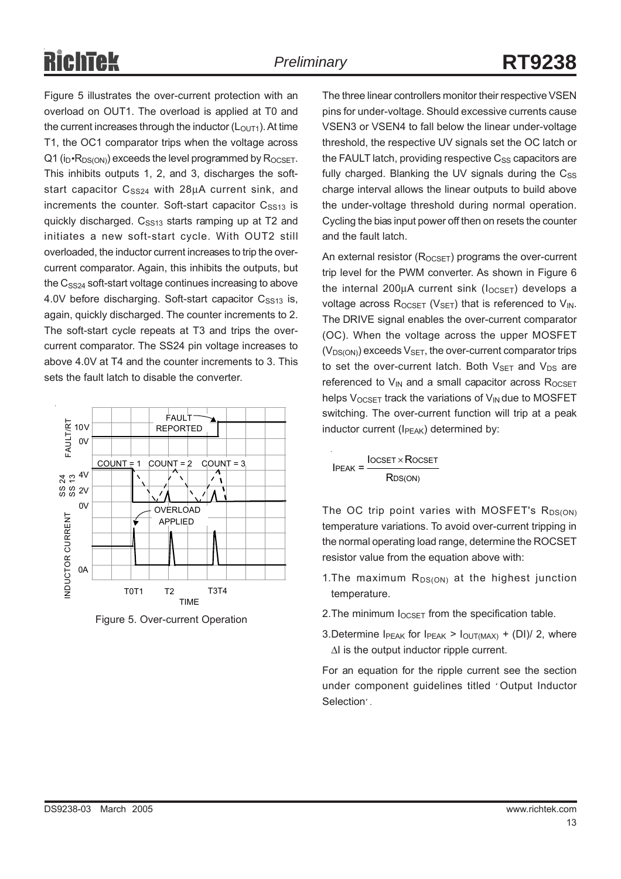Figure 5 illustrates the over-current protection with an overload on OUT1. The overload is applied at T0 and the current increases through the inductor  $(L<sub>OUT1</sub>)$ . At time T1, the OC1 comparator trips when the voltage across  $Q1$  (i<sub>D</sub> R<sub>DS(ON)</sub>) exceeds the level programmed by R<sub>OCSET</sub>. This inhibits outputs 1, 2, and 3, discharges the softstart capacitor  $C_{SS24}$  with 28 $\mu$ A current sink, and increments the counter. Soft-start capacitor  $C<sub>SS13</sub>$  is quickly discharged. C<sub>SS13</sub> starts ramping up at T2 and initiates a new soft-start cycle. With OUT2 still overloaded, the inductor current increases to trip the overcurrent comparator. Again, this inhibits the outputs, but the  $C_{SS24}$  soft-start voltage continues increasing to above 4.0V before discharging. Soft-start capacitor  $C<sub>S513</sub>$  is, again, quickly discharged. The counter increments to 2. The soft-start cycle repeats at T3 and trips the overcurrent comparator. The SS24 pin voltage increases to above 4.0V at T4 and the counter increments to 3. This sets the fault latch to disable the converter.



Figure 5. Over-current Operation

The three linear controllers monitor their respective VSEN pins for under-voltage. Should excessive currents cause VSEN3 or VSEN4 to fall below the linear under-voltage threshold, the respective UV signals set the OC latch or the FAULT latch, providing respective  $C_{SS}$  capacitors are fully charged. Blanking the UV signals during the  $C_{SS}$ charge interval allows the linear outputs to build above the under-voltage threshold during normal operation. Cycling the bias input power off then on resets the counter and the fault latch.

An external resistor  $(R_{OCSET})$  programs the over-current trip level for the PWM converter. As shown in Figure 6 the internal 200 $\mu$ A current sink ( $I_{OCSET}$ ) develops a voltage across  $R_{OCSET}$  ( $V_{SET}$ ) that is referenced to  $V_{IN}$ . The DRIVE signal enables the over-current comparator (OC). When the voltage across the upper MOSFET  $(V_{DS(ON)})$  exceeds  $V_{SFT}$ , the over-current comparator trips to set the over-current latch. Both  $V_{\text{SFT}}$  and  $V_{\text{DS}}$  are referenced to  $V_{IN}$  and a small capacitor across  $R_{OCSET}$ helps  $V_{OCSFT}$  track the variations of  $V_{IN}$  due to MOSFET switching. The over-current function will trip at a peak inductor current (I<sub>PFAK</sub>) determined by:

 $I$ PEAK =  $\frac{I$ OCSET × ROCSET R<sub>DS(ON)</sub>

The OC trip point varies with MOSFET's  $R_{DS(ON)}$ temperature variations. To avoid over-current tripping in the normal operating load range, determine the ROCSET resistor value from the equation above with:

- 1. The maximum  $R_{DS(ON)}$  at the highest junction temperature.
- 2. The minimum  $I_{OCSET}$  from the specification table.
- 3.Determine  $I_{\text{PFAK}}$  for  $I_{\text{PFAK}}$  >  $I_{\text{OUT}(MAX)}$  + (DI)/ 2, where ∆I is the output inductor ripple current.

For an equation for the ripple current see the section under component guidelines titled ' Output Inductor Selection' .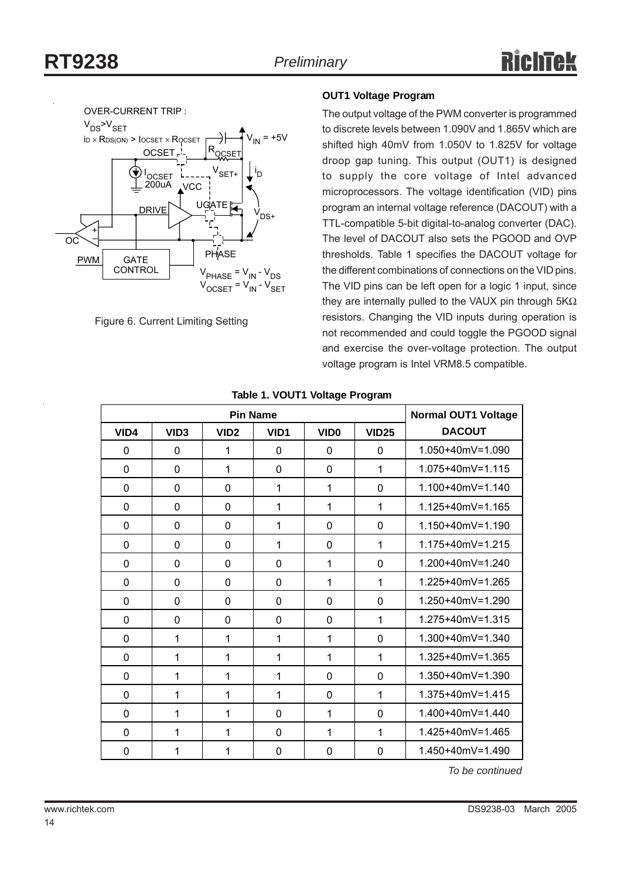

Figure 6. Current Limiting Setting

#### **OUT1 Voltage Program**

The output voltage of the PWM converter is programmed to discrete levels between 1.090V and 1.865V which are shifted high 40mV from 1.050V to 1.825V for voltage droop gap tuning. This output (OUT1) is designed to supply the core voltage of Intel advanced microprocessors. The voltage identification (VID) pins program an internal voltage reference (DACOUT) with a TTL-compatible 5-bit digital-to-analog converter (DAC). The level of DACOUT also sets the PGOOD and OVP thresholds. Table 1 specifies the DACOUT voltage for the different combinations of connections on the VID pins. The VID pins can be left open for a logic 1 input, since they are internally pulled to the VAUX pin through 5KΩ resistors. Changing the VID inputs during operation is not recommended and could toggle the PGOOD signal and exercise the over-voltage protection. The output voltage program is Intel VRM8.5 compatible.

| <b>Pin Name</b> |                  |                  |          |                  |              | <b>Normal OUT1 Voltage</b> |
|-----------------|------------------|------------------|----------|------------------|--------------|----------------------------|
| VID4            | VID <sub>3</sub> | VID <sub>2</sub> | VID1     | VID <sub>0</sub> | <b>VID25</b> | <b>DACOUT</b>              |
| $\Omega$        | 0                | $\mathbf{1}$     | $\Omega$ | $\mathbf{0}$     | $\Omega$     | 1.050+40mV=1.090           |
| $\mathbf 0$     | 0                | $\mathbf{1}$     | 0        | $\mathbf{0}$     | $\mathbf{1}$ | 1.075+40mV=1.115           |
| 0               | 0                | 0                | 1        | 1                | $\Omega$     | 1.100+40mV=1.140           |
| 0               | 0                | 0                | 1        | 1                | 1            | 1.125+40mV=1.165           |
| 0               | $\mathbf 0$      | 0                | 1        | 0                | $\mathbf{0}$ | $1.150 + 40mV = 1.190$     |
| 0               | $\mathbf{0}$     | 0                | 1        | $\mathbf{0}$     | 1            | 1.175+40mV=1.215           |
| 0               | $\mathbf 0$      | 0                | 0        | 1                | $\Omega$     | 1.200+40mV=1.240           |
| $\mathbf{0}$    | $\mathbf{0}$     | 0                | 0        | 1                | 1            | 1.225+40mV=1.265           |
| $\mathbf{0}$    | $\mathbf 0$      | 0                | 0        | 0                | $\Omega$     | 1.250+40mV=1.290           |
| 0               | $\mathbf 0$      | 0                | 0        | 0                | 1            | 1.275+40mV=1.315           |
| 0               | 1                | 1                | 1        | 1                | $\Omega$     | 1.300+40mV=1.340           |
| 0               | 1                | 1                | 1        | 1                | 1            | 1.325+40mV=1.365           |
| 0               | 1                | 1                | 1        | 0                | $\Omega$     | 1.350+40mV=1.390           |
| $\mathbf{0}$    | 1                | 1                | 1        | $\mathbf{0}$     | 1            | 1.375+40mV=1.415           |
| $\mathbf 0$     | 1                | 1                | 0        | 1                | $\Omega$     | 1.400+40mV=1.440           |
| $\mathbf{0}$    | 1                | 1                | $\Omega$ | 1                | 1            | 1.425+40mV=1.465           |
| $\mathbf 0$     | 1                | 1                | 0        | $\mathbf 0$      | 0            | $1.450 + 40$ mV = 1.490    |

#### **Table 1. VOUT1 Voltage Program**

*To be continued*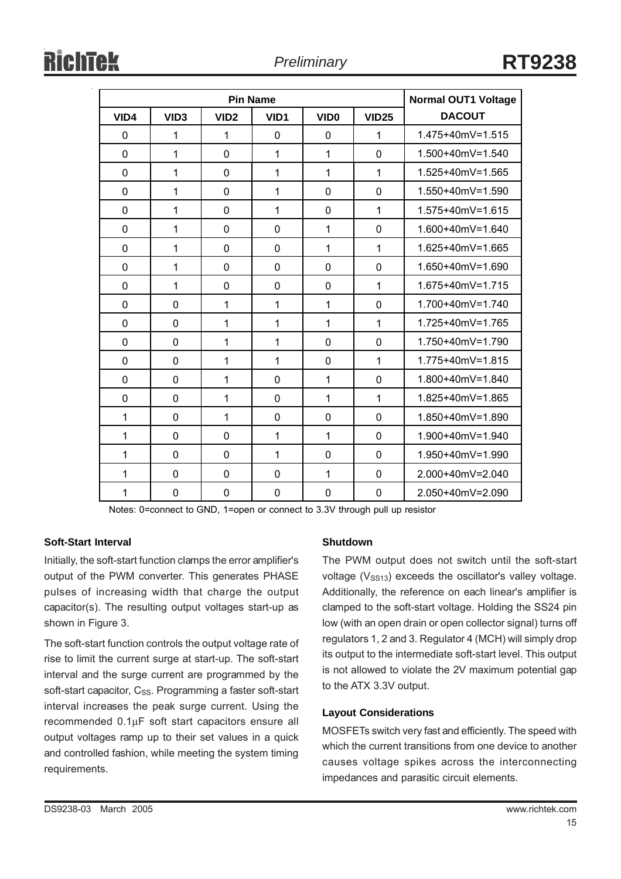| <b>Pin Name</b> |                  |                  |                  |                  |              | <b>Normal OUT1 Voltage</b> |
|-----------------|------------------|------------------|------------------|------------------|--------------|----------------------------|
| VID4            | VID <sub>3</sub> | VID <sub>2</sub> | VID <sub>1</sub> | VID <sub>0</sub> | <b>VID25</b> | <b>DACOUT</b>              |
| 0               | 1                | 1                | 0                | 0                | 1            | 1.475+40mV=1.515           |
| $\mathbf 0$     | 1                | 0                | 1                | $\mathbf{1}$     | $\mathbf 0$  | 1.500+40mV=1.540           |
| $\mathbf 0$     | 1                | 0                | $\mathbf{1}$     | $\mathbf{1}$     | 1            | 1.525+40mV=1.565           |
| 0               | 1                | 0                | $\mathbf{1}$     | 0                | $\mathbf 0$  | 1.550+40mV=1.590           |
| $\mathbf 0$     | 1                | 0                | $\mathbf{1}$     | 0                | 1            | 1.575+40mV=1.615           |
| 0               | 1                | $\Omega$         | $\Omega$         | $\mathbf{1}$     | $\Omega$     | 1.600+40mV=1.640           |
| $\mathbf 0$     | 1                | 0                | 0                | $\mathbf{1}$     | 1            | 1.625+40mV=1.665           |
| $\mathbf 0$     | 1                | $\Omega$         | $\Omega$         | 0                | $\Omega$     | 1.650+40mV=1.690           |
| $\mathbf 0$     | 1                | 0                | 0                | 0                | 1            | 1.675+40mV=1.715           |
| 0               | 0                | 1                | 1                | $\mathbf{1}$     | $\mathbf{0}$ | 1.700+40mV=1.740           |
| $\mathbf 0$     | 0                | $\mathbf 1$      | $\mathbf{1}$     | $\mathbf{1}$     | 1            | 1.725+40mV=1.765           |
| $\mathbf 0$     | 0                | $\mathbf{1}$     | 1                | 0                | $\mathbf 0$  | 1.750+40mV=1.790           |
| 0               | 0                | 1                | 1                | 0                | 1            | $1.775 + 40mV = 1.815$     |
| $\mathbf 0$     | $\Omega$         | 1                | $\Omega$         | $\mathbf{1}$     | $\Omega$     | 1.800+40mV=1.840           |
| $\mathbf 0$     | 0                | 1                | 0                | $\mathbf{1}$     | 1            | 1.825+40mV=1.865           |
| 1               | $\Omega$         | 1                | $\Omega$         | $\Omega$         | $\mathbf 0$  | 1.850+40mV=1.890           |
| 1               | 0                | 0                | 1                | $\mathbf{1}$     | $\mathbf 0$  | 1.900+40mV=1.940           |
| 1               | $\Omega$         | $\Omega$         | 1                | 0                | $\Omega$     | 1.950+40mV=1.990           |
| 1               | 0                | 0                | 0                | $\mathbf{1}$     | $\mathbf 0$  | 2.000+40mV=2.040           |
| 1               | $\mathbf{0}$     | 0                | 0                | 0                | 0            | 2.050+40mV=2.090           |

Notes: 0=connect to GND, 1=open or connect to 3.3V through pull up resistor

### **Soft-Start Interval**

Initially, the soft-start function clamps the error amplifier's output of the PWM converter. This generates PHASE pulses of increasing width that charge the output capacitor(s). The resulting output voltages start-up as shown in Figure 3.

The soft-start function controls the output voltage rate of rise to limit the current surge at start-up. The soft-start interval and the surge current are programmed by the soft-start capacitor, C<sub>SS</sub>. Programming a faster soft-start interval increases the peak surge current. Using the recommended 0.1µF soft start capacitors ensure all output voltages ramp up to their set values in a quick and controlled fashion, while meeting the system timing requirements.

### **Shutdown**

The PWM output does not switch until the soft-start voltage  $(V<sub>S513</sub>)$  exceeds the oscillator's valley voltage. Additionally, the reference on each linear's amplifier is clamped to the soft-start voltage. Holding the SS24 pin low (with an open drain or open collector signal) turns off regulators 1, 2 and 3. Regulator 4 (MCH) will simply drop its output to the intermediate soft-start level. This output is not allowed to violate the 2V maximum potential gap to the ATX 3.3V output.

#### **Layout Considerations**

MOSFETs switch very fast and efficiently. The speed with which the current transitions from one device to another causes voltage spikes across the interconnecting impedances and parasitic circuit elements.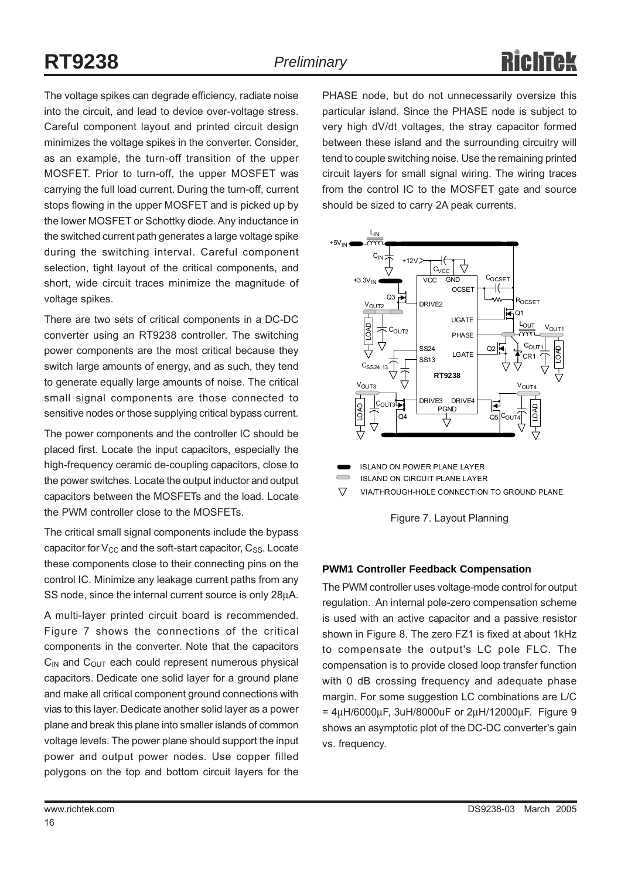The voltage spikes can degrade efficiency, radiate noise into the circuit, and lead to device over-voltage stress. Careful component layout and printed circuit design minimizes the voltage spikes in the converter. Consider, as an example, the turn-off transition of the upper MOSFET. Prior to turn-off, the upper MOSFET was carrying the full load current. During the turn-off, current stops flowing in the upper MOSFET and is picked up by the lower MOSFET or Schottky diode. Any inductance in the switched current path generates a large voltage spike during the switching interval. Careful component selection, tight layout of the critical components, and short, wide circuit traces minimize the magnitude of voltage spikes.

There are two sets of critical components in a DC-DC converter using an RT9238 controller. The switching power components are the most critical because they switch large amounts of energy, and as such, they tend to generate equally large amounts of noise. The critical small signal components are those connected to sensitive nodes or those supplying critical bypass current.

The power components and the controller IC should be placed first. Locate the input capacitors, especially the high-frequency ceramic de-coupling capacitors, close to the power switches. Locate the output inductor and output capacitors between the MOSFETs and the load. Locate the PWM controller close to the MOSFETs.

The critical small signal components include the bypass capacitor for  $V_{CC}$  and the soft-start capacitor,  $C_{SS}$ . Locate these components close to their connecting pins on the control IC. Minimize any leakage current paths from any SS node, since the internal current source is only 28µA.

A multi-layer printed circuit board is recommended. Figure 7 shows the connections of the critical components in the converter. Note that the capacitors  $C_{IN}$  and  $C_{OUT}$  each could represent numerous physical capacitors. Dedicate one solid layer for a ground plane and make all critical component ground connections with vias to this layer. Dedicate another solid layer as a power plane and break this plane into smaller islands of common voltage levels. The power plane should support the input power and output power nodes. Use copper filled polygons on the top and bottom circuit layers for the

PHASE node, but do not unnecessarily oversize this particular island. Since the PHASE node is subject to very high dV/dt voltages, the stray capacitor formed between these island and the surrounding circuitry will tend to couple switching noise. Use the remaining printed circuit layers for small signal wiring. The wiring traces from the control IC to the MOSFET gate and source should be sized to carry 2A peak currents.



ISLAND ON POWER PLANE LAYER

ISLAND ON CIRCUIT PLANE LAYER

 $\triangledown$ VIA/THROUGH-HOLE CONNECTION TO GROUND PLANE



#### **PWM1 Controller Feedback Compensation**

The PWM controller uses voltage-mode control for output regulation. An internal pole-zero compensation scheme is used with an active capacitor and a passive resistor shown in Figure 8. The zero FZ1 is fixed at about 1kHz to compensate the output's LC pole FLC. The compensation is to provide closed loop transfer function with 0 dB crossing frequency and adequate phase margin. For some suggestion LC combinations are L/C  $= 4\mu$ H/6000 $\mu$ F, 3uH/8000 $\mu$ F or 2 $\mu$ H/12000 $\mu$ F. Figure 9 shows an asymptotic plot of the DC-DC converter's gain vs. frequency.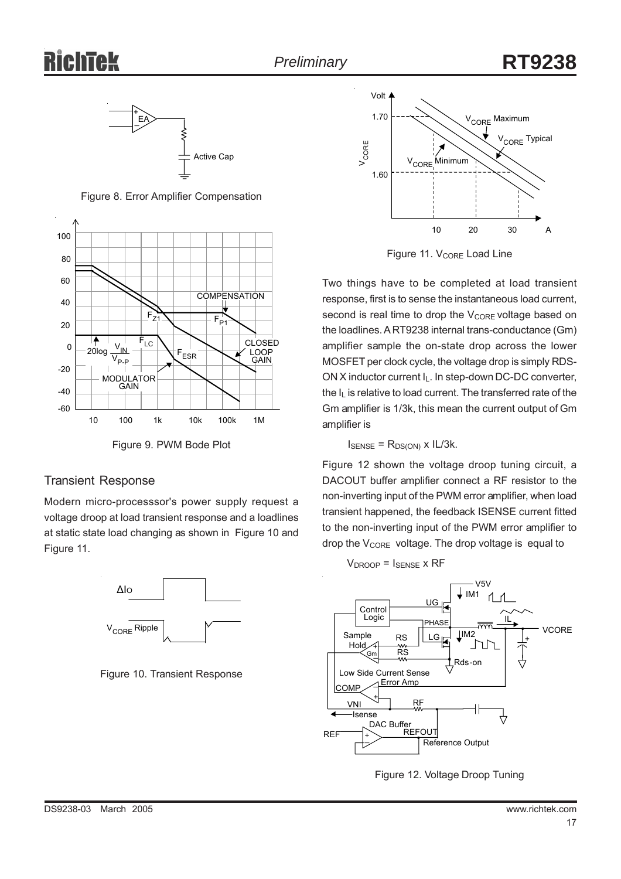

Figure 8. Error Amplifier Compensation



Figure 9. PWM Bode Plot

### Transient Response

Modern micro-processsor's power supply request a voltage droop at load transient response and a loadlines at static state load changing as shown in Figure 10 and Figure 11.



Figure 10. Transient Response



Figure 11. V<sub>CORE</sub> Load Line

Two things have to be completed at load transient response, first is to sense the instantaneous load current, second is real time to drop the  $V_{\text{CORE}}$  voltage based on the loadlines. A RT9238 internal trans-conductance (Gm) amplifier sample the on-state drop across the lower MOSFET per clock cycle, the voltage drop is simply RDS-ON X inductor current I<sub>L</sub>. In step-down DC-DC converter, the IL is relative to load current. The transferred rate of the Gm amplifier is 1/3k, this mean the current output of Gm amplifier is

 $I_{\text{SENSE}} = R_{DS(ON)} \times I L/3k$ .

Figure 12 shown the voltage droop tuning circuit, a DACOUT buffer amplifier connect a RF resistor to the non-inverting input of the PWM error amplifier, when load transient happened, the feedback ISENSE current fitted to the non-inverting input of the PWM error amplifier to drop the V<sub>CORE</sub> voltage. The drop voltage is equal to



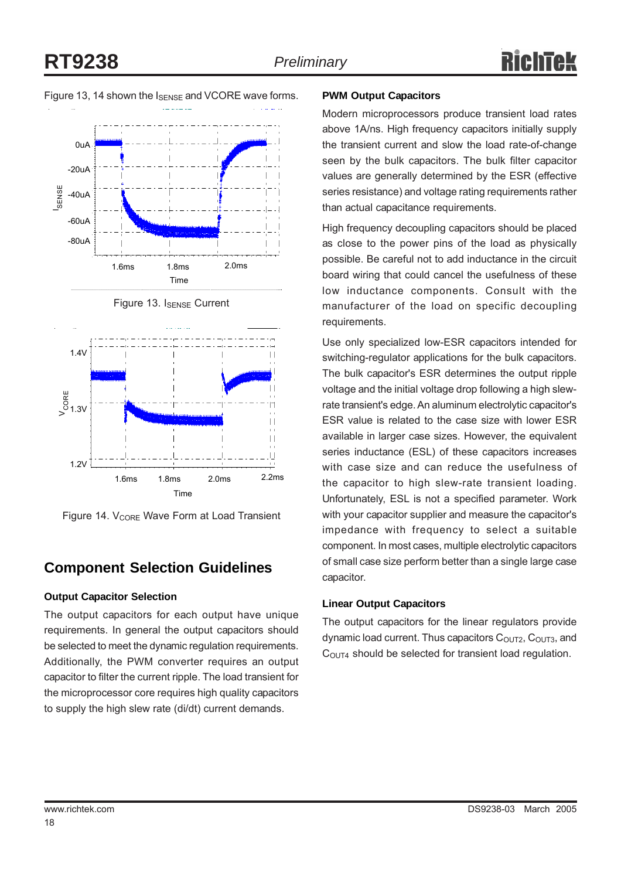Figure 13, 14 shown the I<sub>SENSE</sub> and VCORE wave forms.





Figure 14. V<sub>CORE</sub> Wave Form at Load Transient

### **Component Selection Guidelines**

### **Output Capacitor Selection**

The output capacitors for each output have unique requirements. In general the output capacitors should be selected to meet the dynamic regulation requirements. Additionally, the PWM converter requires an output capacitor to filter the current ripple. The load transient for the microprocessor core requires high quality capacitors to supply the high slew rate (di/dt) current demands.

#### **PWM Output Capacitors**

Modern microprocessors produce transient load rates above 1A/ns. High frequency capacitors initially supply the transient current and slow the load rate-of-change seen by the bulk capacitors. The bulk filter capacitor values are generally determined by the ESR (effective series resistance) and voltage rating requirements rather than actual capacitance requirements.

High frequency decoupling capacitors should be placed as close to the power pins of the load as physically possible. Be careful not to add inductance in the circuit board wiring that could cancel the usefulness of these low inductance components. Consult with the manufacturer of the load on specific decoupling requirements.

Use only specialized low-ESR capacitors intended for switching-regulator applications for the bulk capacitors. The bulk capacitor's ESR determines the output ripple voltage and the initial voltage drop following a high slewrate transient's edge. An aluminum electrolytic capacitor's ESR value is related to the case size with lower ESR available in larger case sizes. However, the equivalent series inductance (ESL) of these capacitors increases with case size and can reduce the usefulness of the capacitor to high slew-rate transient loading. Unfortunately, ESL is not a specified parameter. Work with your capacitor supplier and measure the capacitor's impedance with frequency to select a suitable component. In most cases, multiple electrolytic capacitors of small case size perform better than a single large case capacitor.

### **Linear Output Capacitors**

The output capacitors for the linear regulators provide dynamic load current. Thus capacitors  $C<sub>OUT2</sub>, C<sub>OUT3</sub>$ , and C<sub>OUT4</sub> should be selected for transient load regulation.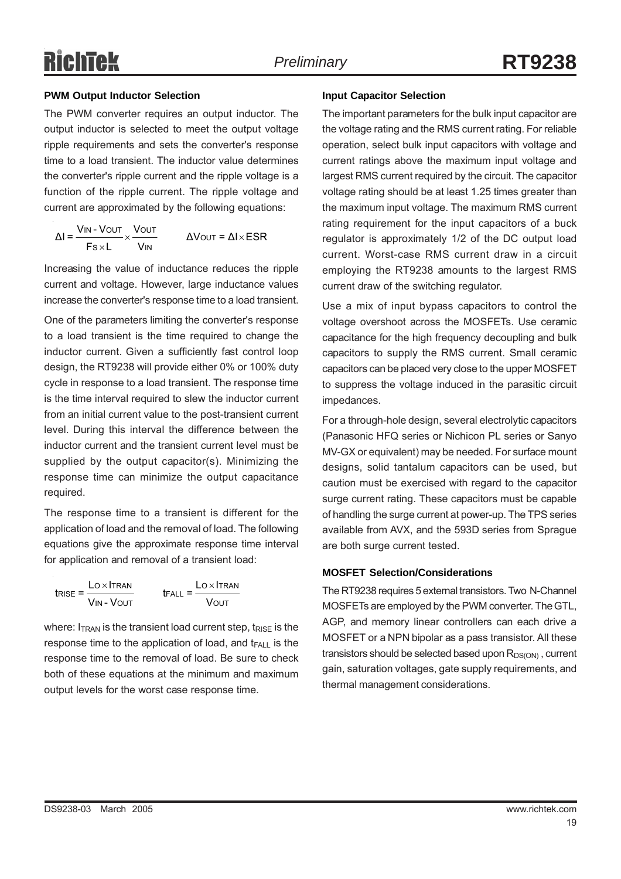### **PWM Output Inductor Selection**

The PWM converter requires an output inductor. The output inductor is selected to meet the output voltage ripple requirements and sets the converter's response time to a load transient. The inductor value determines the converter's ripple current and the ripple voltage is a function of the ripple current. The ripple voltage and current are approximated by the following equations:

 $\frac{1}{\text{fs} \times \text{L}} \times \frac{\text{VOUT}}{\text{VIN}}$   $\Delta \text{VOUT} = \Delta \text{I} \times$ S×L Vin  $\Delta I = \frac{V_{IN} - V_{OUT}}{V_{IV}} \times \frac{V_{OUT}}{V_{IV}}$   $\Delta V_{OUT} = \Delta I \times ESR$  $Fs\times L$  V

Increasing the value of inductance reduces the ripple current and voltage. However, large inductance values increase the converter's response time to a load transient.

One of the parameters limiting the converter's response to a load transient is the time required to change the inductor current. Given a sufficiently fast control loop design, the RT9238 will provide either 0% or 100% duty cycle in response to a load transient. The response time is the time interval required to slew the inductor current from an initial current value to the post-transient current level. During this interval the difference between the inductor current and the transient current level must be supplied by the output capacitor(s). Minimizing the response time can minimize the output capacitance required.

The response time to a transient is different for the application of load and the removal of load. The following equations give the approximate response time interval for application and removal of a transient load:

$$
t_{RISE} = \frac{L \text{O} \times I \text{TRAN}}{V \text{IN} - V \text{OUT}}
$$
 
$$
t_{FALL} = \frac{L \text{O} \times I \text{TRAN}}{V \text{OUT}}
$$

where:  $I_{TRAN}$  is the transient load current step,  $t_{RISF}$  is the response time to the application of load, and  $t_{FALL}$  is the response time to the removal of load. Be sure to check both of these equations at the minimum and maximum output levels for the worst case response time.

### **Input Capacitor Selection**

The important parameters for the bulk input capacitor are the voltage rating and the RMS current rating. For reliable operation, select bulk input capacitors with voltage and current ratings above the maximum input voltage and largest RMS current required by the circuit. The capacitor voltage rating should be at least 1.25 times greater than the maximum input voltage. The maximum RMS current rating requirement for the input capacitors of a buck regulator is approximately 1/2 of the DC output load current. Worst-case RMS current draw in a circuit employing the RT9238 amounts to the largest RMS current draw of the switching regulator.

Use a mix of input bypass capacitors to control the voltage overshoot across the MOSFETs. Use ceramic capacitance for the high frequency decoupling and bulk capacitors to supply the RMS current. Small ceramic capacitors can be placed very close to the upper MOSFET to suppress the voltage induced in the parasitic circuit impedances.

For a through-hole design, several electrolytic capacitors (Panasonic HFQ series or Nichicon PL series or Sanyo MV-GX or equivalent) may be needed. For surface mount designs, solid tantalum capacitors can be used, but caution must be exercised with regard to the capacitor surge current rating. These capacitors must be capable of handling the surge current at power-up. The TPS series available from AVX, and the 593D series from Sprague are both surge current tested.

#### **MOSFET Selection/Considerations**

The RT9238 requires 5 external transistors. Two N-Channel MOSFETs are employed by the PWM converter. The GTL, AGP, and memory linear controllers can each drive a MOSFET or a NPN bipolar as a pass transistor. All these transistors should be selected based upon  $R_{DS(ON)}$ , current gain, saturation voltages, gate supply requirements, and thermal management considerations.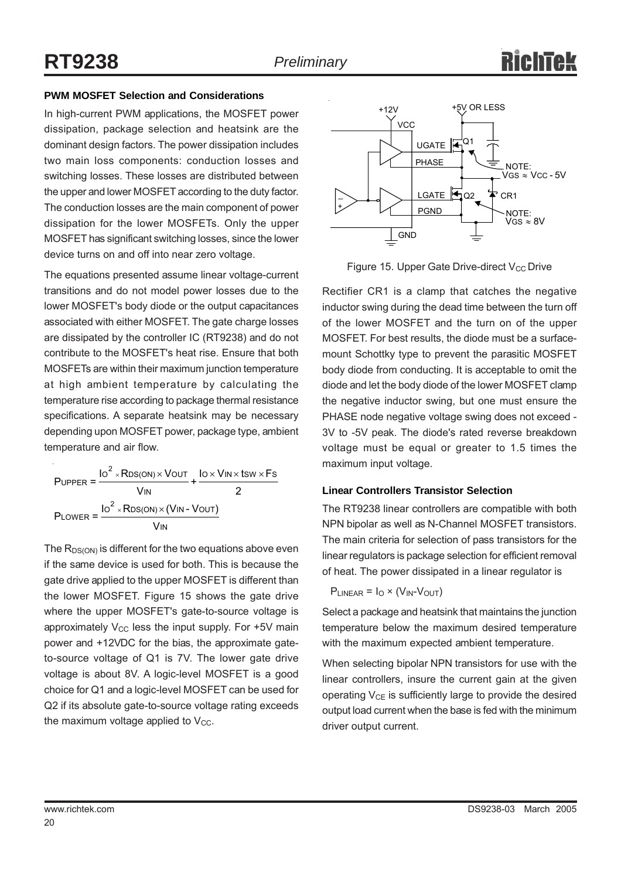### **PWM MOSFET Selection and Considerations**

In high-current PWM applications, the MOSFET power dissipation, package selection and heatsink are the dominant design factors. The power dissipation includes two main loss components: conduction losses and switching losses. These losses are distributed between the upper and lower MOSFET according to the duty factor. The conduction losses are the main component of power dissipation for the lower MOSFETs. Only the upper MOSFET has significant switching losses, since the lower device turns on and off into near zero voltage.

The equations presented assume linear voltage-current transitions and do not model power losses due to the lower MOSFET's body diode or the output capacitances associated with either MOSFET. The gate charge losses are dissipated by the controller IC (RT9238) and do not contribute to the MOSFET's heat rise. Ensure that both MOSFETs are within their maximum junction temperature at high ambient temperature by calculating the temperature rise according to package thermal resistance specifications. A separate heatsink may be necessary depending upon MOSFET power, package type, ambient temperature and air flow.

× ×  $\times$  Vout lo $\times$  Vin $\times$ tsw $\times$ × 2 2  $U$ PPER =  $\frac{IO^{-} \times RDS(ON) \times VOUT}{I} + \frac{IO \times VIN \times tSW \times FS}{I}$ IN LOWER =  $\frac{IO^- \times \text{RDS}(\text{ON}) \times (\text{VN} - \text{VOUT})}{}$ IN PUPPER =  $\frac{10^2 \times \text{RDS}(\text{ON}) \times \text{VOUT}}{}$  +  $\frac{10 \times \text{VIN} \times \text{tSW} \times \text{F}}{}$  $V_{IN}$  2  $P_{LOWER} = \frac{I_0^2 \times RDS(ON) \times (V_{IN} - V_{OUT})}{P_{U}}$ V

The  $R_{DS(ON)}$  is different for the two equations above even if the same device is used for both. This is because the gate drive applied to the upper MOSFET is different than the lower MOSFET. Figure 15 shows the gate drive where the upper MOSFET's gate-to-source voltage is approximately  $V_{CC}$  less the input supply. For +5V main power and +12VDC for the bias, the approximate gateto-source voltage of Q1 is 7V. The lower gate drive voltage is about 8V. A logic-level MOSFET is a good choice for Q1 and a logic-level MOSFET can be used for Q2 if its absolute gate-to-source voltage rating exceeds the maximum voltage applied to  $V_{CC}$ .



Figure 15. Upper Gate Drive-direct  $V_{CC}$  Drive

Rectifier CR1 is a clamp that catches the negative inductor swing during the dead time between the turn off of the lower MOSFET and the turn on of the upper MOSFET. For best results, the diode must be a surfacemount Schottky type to prevent the parasitic MOSFET body diode from conducting. It is acceptable to omit the diode and let the body diode of the lower MOSFET clamp the negative inductor swing, but one must ensure the PHASE node negative voltage swing does not exceed - 3V to -5V peak. The diode's rated reverse breakdown voltage must be equal or greater to 1.5 times the maximum input voltage.

#### **Linear Controllers Transistor Selection**

The RT9238 linear controllers are compatible with both NPN bipolar as well as N-Channel MOSFET transistors. The main criteria for selection of pass transistors for the linear regulators is package selection for efficient removal of heat. The power dissipated in a linear regulator is

$$
P_{LINEAR} = I_O \times (V_{IN} \text{-}V_{OUT})
$$

Select a package and heatsink that maintains the junction temperature below the maximum desired temperature with the maximum expected ambient temperature.

When selecting bipolar NPN transistors for use with the linear controllers, insure the current gain at the given operating  $V_{CE}$  is sufficiently large to provide the desired output load current when the base is fed with the minimum driver output current.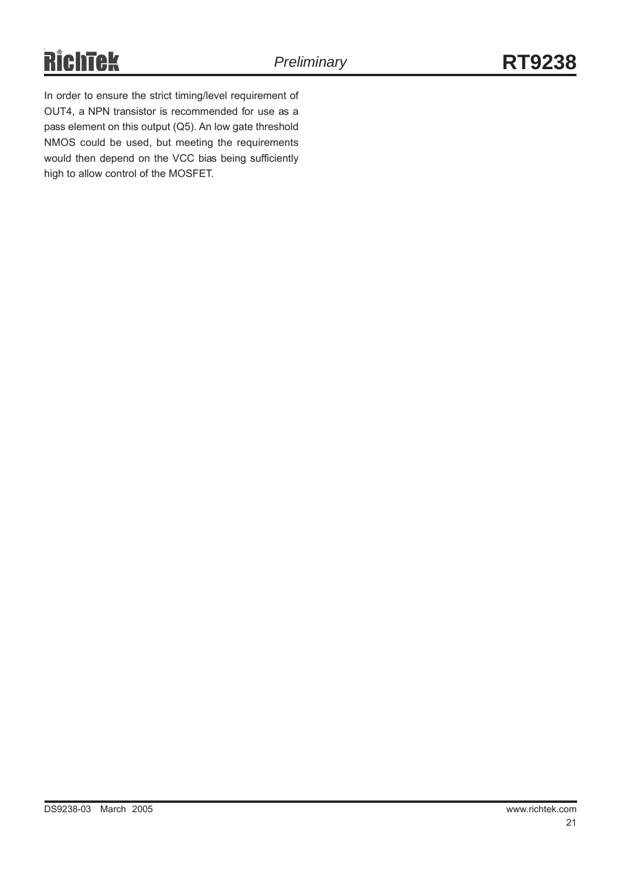# **RichTek**

In order to ensure the strict timing/level requirement of OUT4, a NPN transistor is recommended for use as a pass element on this output (Q5). An low gate threshold NMOS could be used, but meeting the requirements would then depend on the VCC bias being sufficiently high to allow control of the MOSFET.